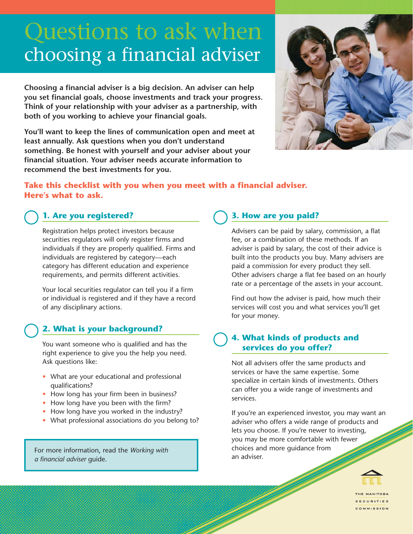# Questions to ask when choosing a financial adviser

**Choosing a financial adviser is a big decision. An adviser can help you set financial goals, choose investments and track your progress. Think of your relationship with your adviser as a partnership, with both of you working to achieve your financial goals.**

**You'll want to keep the lines of communication open and meet at least annually. Ask questions when you don't understand something. Be honest with yourself and your adviser about your financial situation. Your adviser needs accurate information to recommend the best investments for you.**



# **Take this checklist with you when you meet with a financial adviser. Here's what to ask.**

# **1. Are you registered?**

Registration helps protect investors because securities regulators will only register firms and individuals if they are properly qualified. Firms and individuals are registered by category—each category has different education and experience requirements, and permits different activities.

Your local securities regulator can tell you if a firm or individual is registered and if they have a record of any disciplinary actions.

#### **2. What is your background?**

You want someone who is qualified and has the right experience to give you the help you need. Ask questions like:

- What are your educational and professional qualifications?
- How long has your firm been in business?
- How long have you been with the firm?
- How long have you worked in the industry?
- What professional associations do you belong to?

For more information, read the *Working with a financial adviser* guide.

# **3. How are you paid?**

Advisers can be paid by salary, commission, a flat fee, or a combination of these methods. If an adviser is paid by salary, the cost of their advice is built into the products you buy. Many advisers are paid a commission for every product they sell. Other advisers charge a flat fee based on an hourly rate or a percentage of the assets in your account.

Find out how the adviser is paid, how much their services will cost you and what services you'll get for your money.

#### **4. What kinds of products and services do you offer?**

Not all advisers offer the same products and services or have the same expertise. Some specialize in certain kinds of investments. Others can offer you a wide range of investments and services.

If you're an experienced investor, you may want an adviser who offers a wide range of products and lets you choose. If you're newer to investing, you may be more comfortable with fewer choices and more guidance from an adviser.



THE MANITOBA **SECURITIES** COMMISSION